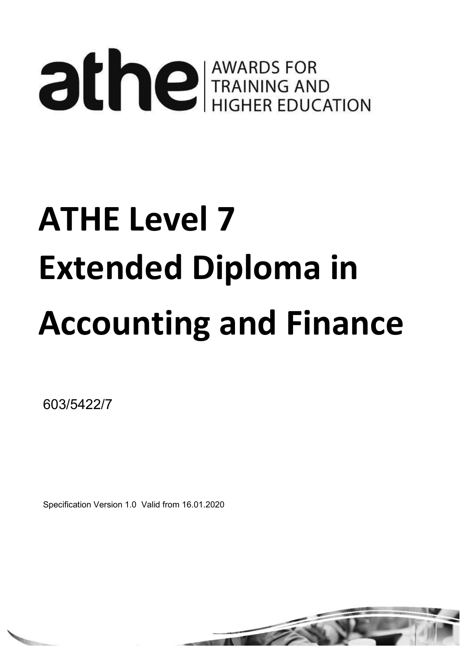# **alle TRAINING AND TRAINING AND HIGHER EDUCATION**

## ATHE Level 7 Extended Diploma in Accounting and Finance

603/5422/7

Specification Version 1.0 Valid from 16.01.2020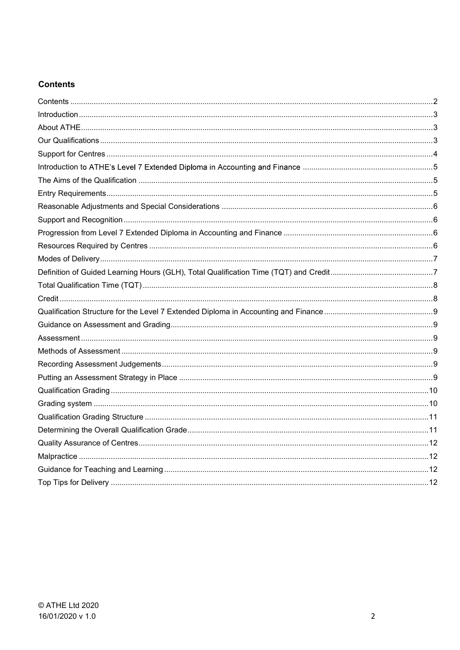## **Contents**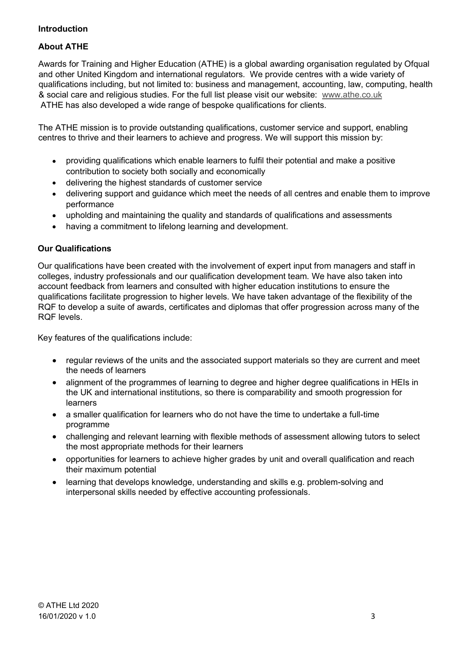### Introduction

### About ATHE

**About ATHE**<br>Awards for Training and Higher Education (ATHE) is a global awarding organisation regulated by Ofqual<br>and other United Kingdom and international regulators. We provide centres with a wide variety of<br>qualificat and other United Kingdom and international regulators. We provide centres with a wide variety of qualifications including, but not limited to: business and management, accounting, law, computing, health **About ATHE**<br>Awards for Training and Higher Education (ATHE) is a global awarding organisation regulated by Ofqual<br>and other United Kingdom and international regulators. We provide centres with a wide variety of<br>qualificat ATHE has also developed a wide range of bespoke qualifications for clients.

The ATHE mission is to provide outstanding qualifications, customer service and support, enabling centres to thrive and their learners to achieve and progress. We will support this mission by:

- providing qualifications which enable learners to fulfil their potential and make a positive contribution to society both socially and economically
- delivering the highest standards of customer service
- delivering support and guidance which meet the needs of all centres and enable them to improve performance
- upholding and maintaining the quality and standards of qualifications and assessments
- having a commitment to lifelong learning and development.

### Our Qualifications

Our qualifications have been created with the involvement of expert input from managers and staff in colleges, industry professionals and our qualification development team. We have also taken into account feedback from learners and consulted with higher education institutions to ensure the qualifications facilitate progression to higher levels. We have taken advantage of the flexibility of the RQF to develop a suite of awards, certificates and diplomas that offer progression across many of the RQF levels.

Key features of the qualifications include:

- regular reviews of the units and the associated support materials so they are current and meet  $\bullet$ the needs of learners
- alignment of the programmes of learning to degree and higher degree qualifications in HEIs in the UK and international institutions, so there is comparability and smooth progression for learners
- a smaller qualification for learners who do not have the time to undertake a full-time  $\bullet$ programme
- challenging and relevant learning with flexible methods of assessment allowing tutors to select  $\bullet$ the most appropriate methods for their learners
- opportunities for learners to achieve higher grades by unit and overall qualification and reach  $\bullet$ their maximum potential
- learning that develops knowledge, understanding and skills e.g. problem-solving and  $\bullet$ interpersonal skills needed by effective accounting professionals.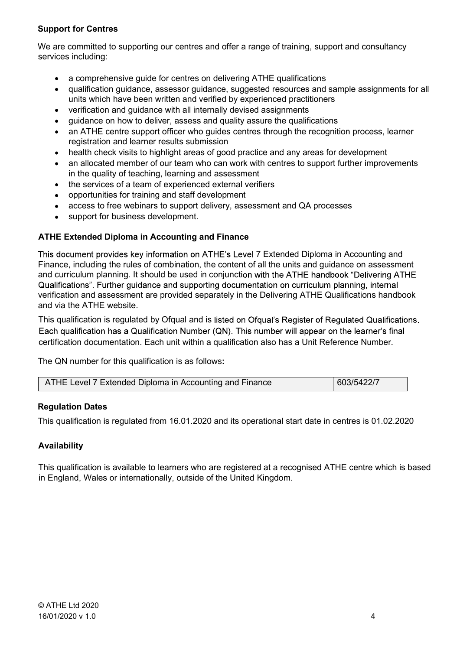### Support for Centres

We are committed to supporting our centres and offer a range of training, support and consultancy services including:

- a comprehensive guide for centres on delivering ATHE qualifications
- qualification guidance, assessor guidance, suggested resources and sample assignments for all units which have been written and verified by experienced practitioners
- verification and guidance with all internally devised assignments
- guidance on how to deliver, assess and quality assure the qualifications
- an ATHE centre support officer who quides centres through the recognition process, learner registration and learner results submission
- health check visits to highlight areas of good practice and any areas for development
- an allocated member of our team who can work with centres to support further improvements in the quality of teaching, learning and assessment
- the services of a team of experienced external verifiers
- opportunities for training and staff development
- access to free webinars to support delivery, assessment and QA processes
- support for business development.

### ATHE Extended Diploma in Accounting and Finance

This document provides key information on ATHE's Level 7 Extended Diploma in Accounting and Finance, including the rules of combination, the content of all the units and guidance on assessment and curriculum planning. It should be used in conjunction with the ATHE handbook "Delivering ATHE Qualifications". Further quidance and supporting documentation on curriculum planning, internal verification and assessment are provided separately in the Delivering ATHE Qualifications handbook and via the ATHE website.

This qualification is regulated by Ofqual and is listed on Ofqual's Register of Regulated Qualifications. Each qualification has a Qualification Number (QN). This number will appear on the learner's final certification documentation. Each unit within a qualification also has a Unit Reference Number.

The QN number for this qualification is as follows:

| 603/5422/7 | ATHE Level 7 Extended Diploma in Accounting and Finance |
|------------|---------------------------------------------------------|
|------------|---------------------------------------------------------|

### Regulation Dates

This qualification is regulated from 16.01.2020 and its operational start date in centres is 01.02.2020

### Availability

This qualification is available to learners who are registered at a recognised ATHE centre which is based in England, Wales or internationally, outside of the United Kingdom.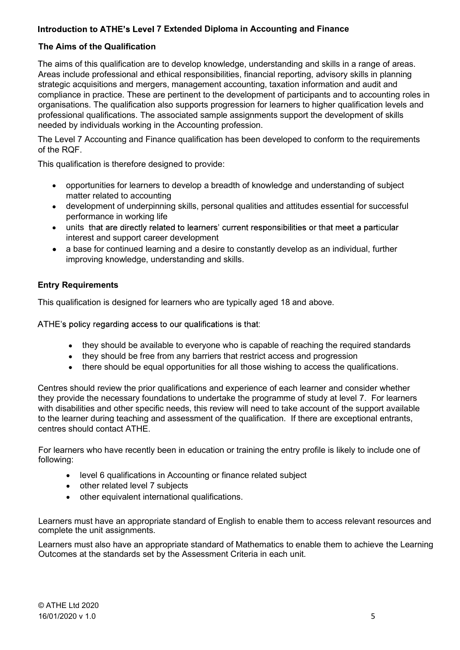### Introduction to ATHE's Level 7 Extended Diploma in Accounting and Finance

### The Aims of the Qualification

Introduction to ATHE's Level 7 Extended Diploma in Accounting and Finance<br>The Aims of the Qualification<br>The aims of this qualification<br>The aims of this qualification are to develop knowledge, understanding and skills in a Areas include professional and ethical responsibilities, financial reporting, advisory skills in planning strategic acquisitions and mergers, management accounting, taxation information and audit and compliance in practice. These are pertinent to the development of participants and to accounting roles in organisations. The qualification also supports progression for learners to higher qualification levels and professional qualifications. The associated sample assignments support the development of skills needed by individuals working in the Accounting profession.

The Level 7 Accounting and Finance qualification has been developed to conform to the requirements of the RQF.

This qualification is therefore designed to provide:

- opportunities for learners to develop a breadth of knowledge and understanding of subject matter related to accounting
- development of underpinning skills, personal qualities and attitudes essential for successful performance in working life
- units that are directly related to learners' current responsibilities or that meet a particular interest and support career development
- a base for continued learning and a desire to constantly develop as an individual, further improving knowledge, understanding and skills.

### Entry Requirements

This qualification is designed for learners who are typically aged 18 and above.

ATHE's policy regarding access to our qualifications is that:

- they should be available to everyone who is capable of reaching the required standards
- they should be free from any barriers that restrict access and progression
- there should be equal opportunities for all those wishing to access the qualifications.

Centres should review the prior qualifications and experience of each learner and consider whether they provide the necessary foundations to undertake the programme of study at level 7. For learners with disabilities and other specific needs, this review will need to take account of the support available to the learner during teaching and assessment of the qualification. If there are exceptional entrants, centres should contact ATHE.

For learners who have recently been in education or training the entry profile is likely to include one of following:

- level 6 qualifications in Accounting or finance related subject
- other related level 7 subjects
- other equivalent international qualifications.

Learners must have an appropriate standard of English to enable them to access relevant resources and complete the unit assignments.

Learners must also have an appropriate standard of Mathematics to enable them to achieve the Learning Outcomes at the standards set by the Assessment Criteria in each unit.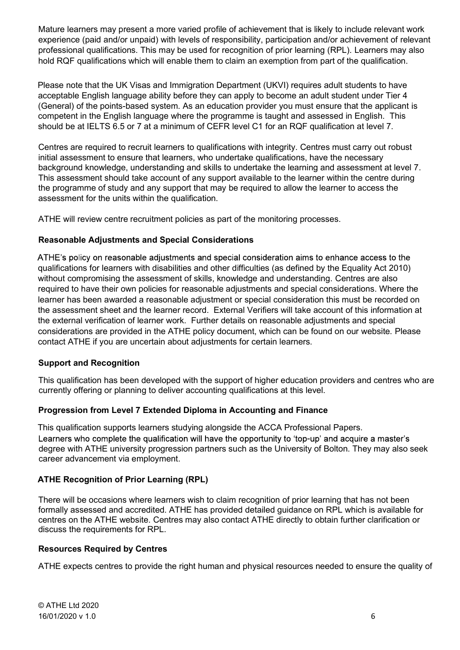Mature learners may present a more varied profile of achievement that is likely to include relevant work experience (paid and/or unpaid) with levels of responsibility, participation and/or achievement of relevant professional qualifications. This may be used for recognition of prior learning (RPL). Learners may also hold RQF qualifications which will enable them to claim an exemption from part of the qualification.

Please note that the UK Visas and Immigration Department (UKVI) requires adult students to have acceptable English language ability before they can apply to become an adult student under Tier 4 (General) of the points-based system. As an education provider you must ensure that the applicant is competent in the English language where the programme is taught and assessed in English. This should be at IELTS 6.5 or 7 at a minimum of CEFR level C1 for an RQF qualification at level 7.

Centres are required to recruit learners to qualifications with integrity. Centres must carry out robust initial assessment to ensure that learners, who undertake qualifications, have the necessary background knowledge, understanding and skills to undertake the learning and assessment at level 7. This assessment should take account of any support available to the learner within the centre during the programme of study and any support that may be required to allow the learner to access the assessment for the units within the qualification.

ATHE will review centre recruitment policies as part of the monitoring processes.

### Reasonable Adjustments and Special Considerations

ATHE's policy on reasonable adjustments and special consideration aims to enhance access to the qualifications for learners with disabilities and other difficulties (as defined by the Equality Act 2010) without compromising the assessment of skills, knowledge and understanding. Centres are also required to have their own policies for reasonable adjustments and special considerations. Where the learner has been awarded a reasonable adjustment or special consideration this must be recorded on the assessment sheet and the learner record. External Verifiers will take account of this information at the external verification of learner work. Further details on reasonable adjustments and special considerations are provided in the ATHE policy document, which can be found on our website. Please contact ATHE if you are uncertain about adjustments for certain learners.

### Support and Recognition

This qualification has been developed with the support of higher education providers and centres who are currently offering or planning to deliver accounting qualifications at this level.

### Progression from Level 7 Extended Diploma in Accounting and Finance

This qualification supports learners studying alongside the ACCA Professional Papers.<br>Learners who complete the qualification will have the opportunity to 'top-up' and acquire a master's degree with ATHE university progression partners such as the University of Bolton. They may also seek career advancement via employment.

### ATHE Recognition of Prior Learning (RPL)

There will be occasions where learners wish to claim recognition of prior learning that has not been formally assessed and accredited. ATHE has provided detailed guidance on RPL which is available for centres on the ATHE website. Centres may also contact ATHE directly to obtain further clarification or discuss the requirements for RPL.

### Resources Required by Centres

ATHE expects centres to provide the right human and physical resources needed to ensure the quality of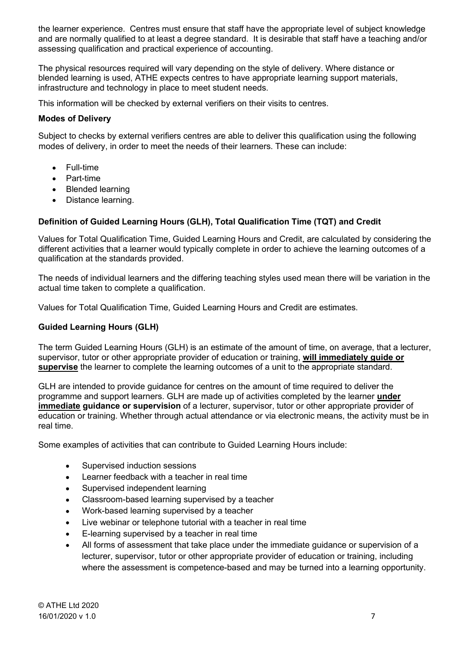the learner experience. Centres must ensure that staff have the appropriate level of subject knowledge and are normally qualified to at least a degree standard. It is desirable that staff have a teaching and/or assessing qualification and practical experience of accounting.

The physical resources required will vary depending on the style of delivery. Where distance or blended learning is used, ATHE expects centres to have appropriate learning support materials, infrastructure and technology in place to meet student needs.

This information will be checked by external verifiers on their visits to centres.

### Modes of Delivery

Subject to checks by external verifiers centres are able to deliver this qualification using the following modes of delivery, in order to meet the needs of their learners. These can include:

- Full-time
- Part-time
- Blended learning
- Distance learning.

### Definition of Guided Learning Hours (GLH), Total Qualification Time (TQT) and Credit

Values for Total Qualification Time, Guided Learning Hours and Credit, are calculated by considering the different activities that a learner would typically complete in order to achieve the learning outcomes of a qualification at the standards provided.

The needs of individual learners and the differing teaching styles used mean there will be variation in the actual time taken to complete a qualification.

Values for Total Qualification Time, Guided Learning Hours and Credit are estimates.

### Guided Learning Hours (GLH)

The term Guided Learning Hours (GLH) is an estimate of the amount of time, on average, that a lecturer, supervisor, tutor or other appropriate provider of education or training, will immediately quide or supervise the learner to complete the learning outcomes of a unit to the appropriate standard.

GLH are intended to provide guidance for centres on the amount of time required to deliver the programme and support learners. GLH are made up of activities completed by the learner under immediate guidance or supervision of a lecturer, supervisor, tutor or other appropriate provider of education or training. Whether through actual attendance or via electronic means, the activity must be in real time.

Some examples of activities that can contribute to Guided Learning Hours include:

- Supervised induction sessions
- Learner feedback with a teacher in real time
- Supervised independent learning
- Classroom-based learning supervised by a teacher
- Work-based learning supervised by a teacher
- Live webinar or telephone tutorial with a teacher in real time
- E-learning supervised by a teacher in real time
- All forms of assessment that take place under the immediate guidance or supervision of a lecturer, supervisor, tutor or other appropriate provider of education or training, including where the assessment is competence-based and may be turned into a learning opportunity.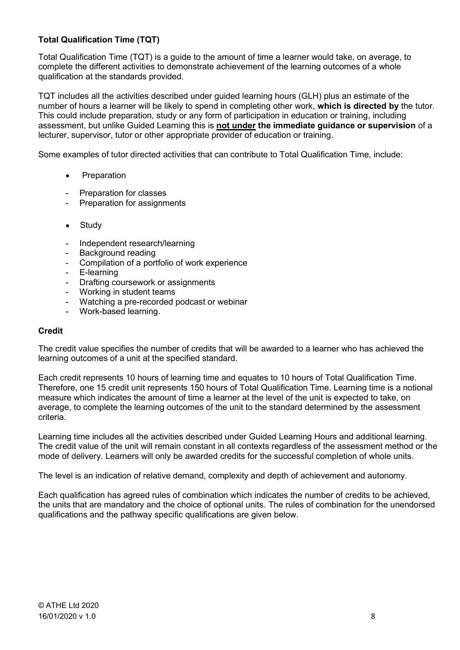### Total Qualification Time (TQT)

Total Qualification Time (TQT) is a guide to the amount of time a learner would take, on average, to complete the different activities to demonstrate achievement of the learning outcomes of a whole qualification at the standards provided.

TQT includes all the activities described under guided learning hours (GLH) plus an estimate of the number of hours a learner will be likely to spend in completing other work, which is directed by the tutor. This could include preparation, study or any form of participation in education or training, including assessment, but unlike Guided Learning this is not under the immediate guidance or supervision of a lecturer, supervisor, tutor or other appropriate provider of education or training.

Some examples of tutor directed activities that can contribute to Total Qualification Time, include:

- Preparation
- Preparation for classes
- Preparation for assignments
- Study
- Independent research/learning
- Background reading
- Compilation of a portfolio of work experience
- E-learning
- Drafting coursework or assignments
- Working in student teams
- Watching a pre-recorded podcast or webinar
- Work-based learning.

### **Credit**

The credit value specifies the number of credits that will be awarded to a learner who has achieved the learning outcomes of a unit at the specified standard.

Each credit represents 10 hours of learning time and equates to 10 hours of Total Qualification Time. Therefore, one 15 credit unit represents 150 hours of Total Qualification Time. Learning time is a notional measure which indicates the amount of time a learner at the level of the unit is expected to take, on average, to complete the learning outcomes of the unit to the standard determined by the assessment criteria.

Learning time includes all the activities described under Guided Learning Hours and additional learning. The credit value of the unit will remain constant in all contexts regardless of the assessment method or the mode of delivery. Learners will only be awarded credits for the successful completion of whole units.

The level is an indication of relative demand, complexity and depth of achievement and autonomy.

Each qualification has agreed rules of combination which indicates the number of credits to be achieved, the units that are mandatory and the choice of optional units. The rules of combination for the unendorsed qualifications and the pathway specific qualifications are given below.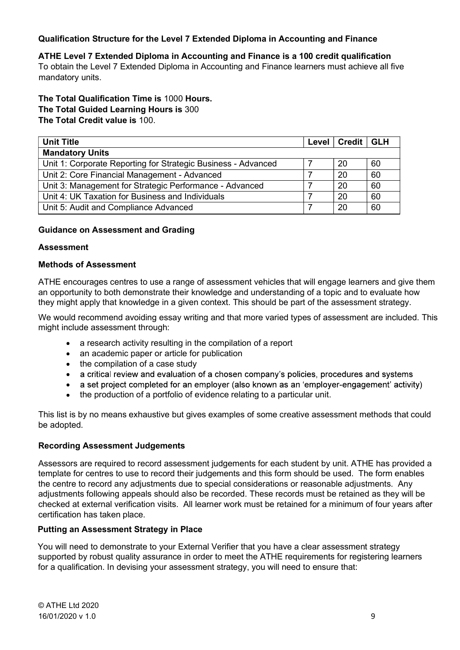### Qualification Structure for the Level 7 Extended Diploma in Accounting and Finance

Qualification Structure for the Level 7 Extended Diploma in Accounting and Finance<br>ATHE Level 7 Extended Diploma in Accounting and Finance is a 100 credit qualification<br>To obtain the Level 7 Extended Diploma in Accounting To obtain the Level 7 Extended Diploma in Accounting and Finance learners must achieve all five mandatory units.

The Total Qualification Time is 1000 Hours. The Total Guided Learning Hours is 300 The Total Credit value is 100.

| <b>Unit Title</b>                                             | <b>Level</b> | Credit   GLH |    |
|---------------------------------------------------------------|--------------|--------------|----|
| <b>Mandatory Units</b>                                        |              |              |    |
| Unit 1: Corporate Reporting for Strategic Business - Advanced |              | 20           | 60 |
| Unit 2: Core Financial Management - Advanced                  |              | 20           | 60 |
| Unit 3: Management for Strategic Performance - Advanced       |              | 20           | 60 |
| Unit 4: UK Taxation for Business and Individuals              |              | 20           | 60 |
| Unit 5: Audit and Compliance Advanced                         |              | 20           | 60 |

### Guidance on Assessment and Grading

### Assessment

### Methods of Assessment

ATHE encourages centres to use a range of assessment vehicles that will engage learners and give them an opportunity to both demonstrate their knowledge and understanding of a topic and to evaluate how they might apply that knowledge in a given context. This should be part of the assessment strategy.

We would recommend avoiding essay writing and that more varied types of assessment are included. This might include assessment through:

- a research activity resulting in the compilation of a report
- an academic paper or article for publication
- 
- the compilation of a case study<br>● a critical review and evaluation of a chosen company's policies, procedures and systems<br>● a set project completed for an employer (also known as an 'employer-engagement' activity)
- 
- the production of a portfolio of evidence relating to a particular unit.

This list is by no means exhaustive but gives examples of some creative assessment methods that could be adopted.

### Recording Assessment Judgements

Assessors are required to record assessment judgements for each student by unit. ATHE has provided a template for centres to use to record their judgements and this form should be used. The form enables the centre to record any adjustments due to special considerations or reasonable adjustments. Any adjustments following appeals should also be recorded. These records must be retained as they will be checked at external verification visits. All learner work must be retained for a minimum of four years after certification has taken place. Putting an Assessment Strategy in Place

You will need to demonstrate to your External Verifier that you have a clear assessment strategy supported by robust quality assurance in order to meet the ATHE requirements for registering learners for a qualification. In devising your assessment strategy, you will need to ensure that: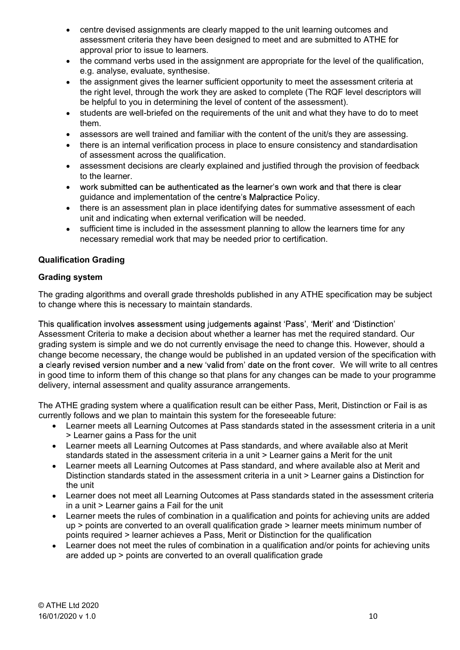- centre devised assignments are clearly mapped to the unit learning outcomes and centre devised assignments are clearly mapped to the unit learning outcomes and<br>assessment criteria they have been designed to meet and are submitted to ATHE for<br>approval prior to issue to learners.<br>the command verbs used approval prior to issue to learners.
- the command verbs used in the assignment are appropriate for the level of the qualification, e.g. analyse, evaluate, synthesise.
- the assignment gives the learner sufficient opportunity to meet the assessment criteria at the right level, through the work they are asked to complete (The RQF level descriptors will be helpful to you in determining the level of content of the assessment).
- students are well-briefed on the requirements of the unit and what they have to do to meet them.
- assessors are well trained and familiar with the content of the unit/s they are assessing.
- there is an internal verification process in place to ensure consistency and standardisation of assessment across the qualification.
- assessment decisions are clearly explained and justified through the provision of feedback to the learner.
- work submitted can be authenticated as the learner's own work and that there is clear guidance and implementation of the centre's Malpractice Policy.
- there is an assessment plan in place identifying dates for summative assessment of each unit and indicating when external verification will be needed.
- sufficient time is included in the assessment planning to allow the learners time for any necessary remedial work that may be needed prior to certification.

### Qualification Grading

### Grading system

The grading algorithms and overall grade thresholds published in any ATHE specification may be subject to change where this is necessary to maintain standards.

This qualification involves assessment using judgements against 'Pass', 'Merit' and 'Distinction' Assessment Criteria to make a decision about whether a learner has met the required standard. Our grading system is simple and we do not currently envisage the need to change this. However, should a change become necessary, the change would be published in an updated version of the specification with a clearly revised version number and a new 'valid from' date on the front cover. We will write to all centres in good time to inform them of this change so that plans for any changes can be made to your programme delivery, internal assessment and quality assurance arrangements.

The ATHE grading system where a qualification result can be either Pass, Merit, Distinction or Fail is as currently follows and we plan to maintain this system for the foreseeable future:

- Learner meets all Learning Outcomes at Pass standards stated in the assessment criteria in a unit > Learner gains a Pass for the unit
- Learner meets all Learning Outcomes at Pass standards, and where available also at Merit standards stated in the assessment criteria in a unit > Learner gains a Merit for the unit
- Learner meets all Learning Outcomes at Pass standard, and where available also at Merit and Distinction standards stated in the assessment criteria in a unit > Learner gains a Distinction for the unit
- Learner does not meet all Learning Outcomes at Pass standards stated in the assessment criteria in a unit > Learner gains a Fail for the unit
- Learner meets the rules of combination in a qualification and points for achieving units are added up > points are converted to an overall qualification grade > learner meets minimum number of points required > learner achieves a Pass, Merit or Distinction for the qualification
- Learner does not meet the rules of combination in a qualification and/or points for achieving units are added up > points are converted to an overall qualification grade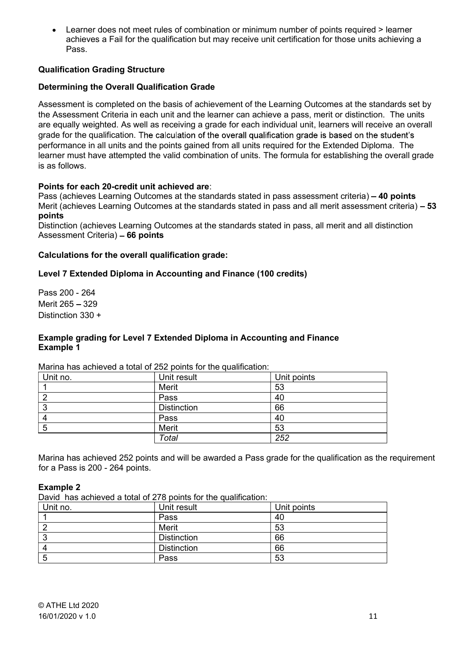Learner does not meet rules of combination or minimum number of points required > learner achieves a Fail for the qualification but may receive unit certification for those units achieving a<br>Pass.<br>c**ation Grading Structure**  $\bullet$ achieves a Fail for the qualification but may receive unit certification for those units achieving a Pass.

### Qualification Grading Structure

### Determining the Overall Qualification Grade

Assessment is completed on the basis of achievement of the Learning Outcomes at the standards set by the Assessment Criteria in each unit and the learner can achieve a pass, merit or distinction. The units are equally weighted. As well as receiving a grade for each individual unit, learners will receive an overall grade for the qualification. The calculation of the overall qualification grade is based on the student's performance in all units and the points gained from all units required for the Extended Diploma. The learner must have attempted the valid combination of units. The formula for establishing the overall grade is as follows.

### Points for each 20-credit unit achieved are:

Pass (achieves Learning Outcomes at the standards stated in pass assessment criteria) - 40 points Merit (achieves Learning Outcomes at the standards stated in pass and all merit assessment criteria)  $-53$ points

Distinction (achieves Learning Outcomes at the standards stated in pass, all merit and all distinction Assessment Criteria) - 66 points

### Calculations for the overall qualification grade:

### Level 7 Extended Diploma in Accounting and Finance (100 credits)

Pass 200 - 264 Merit 265 - 329 Distinction 330 +

### Example grading for Level 7 Extended Diploma in Accounting and Finance Example 1

Marina has achieved a total of 252 points for the qualification:

| Unit no. | Unit result        | Unit points |  |
|----------|--------------------|-------------|--|
|          | Merit              | 53          |  |
| ◠        | Pass               | 40          |  |
| ◠<br>J   | <b>Distinction</b> | 66          |  |
|          | Pass               | 40          |  |
| 5        | Merit              | 53          |  |
|          | Total              | 252         |  |

Marina has achieved 252 points and will be awarded a Pass grade for the qualification as the requirement for a Pass is 200 - 264 points.

### Example 2

David has achieved a total of 278 points for the qualification:

| Unit no. | Unit result        | Unit points |
|----------|--------------------|-------------|
|          | Pass               | 40          |
|          | Merit              | 53          |
|          | <b>Distinction</b> | 66          |
|          | <b>Distinction</b> | 66          |
|          | Pass               | 53          |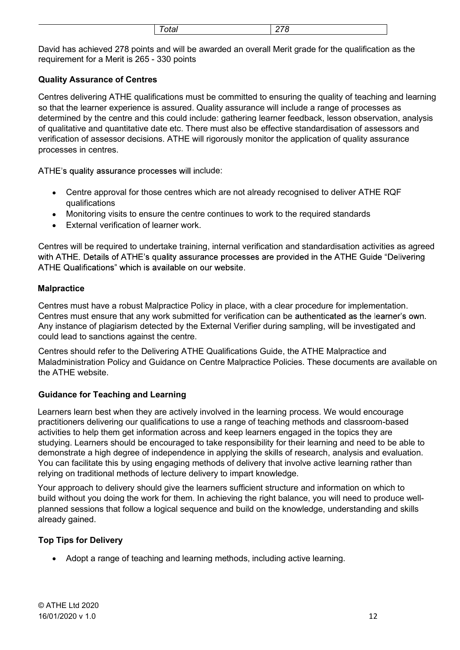| <br>____ |
|----------|
|----------|

Total<br>
278<br>
and will be awarded an overall Merit grade for the qualification as the<br>
230 points Total 278<br>David has achieved 278 points and will be awarded an overall Merit grade for the qualification as the<br>Distribution and Merit is 265 - 330 points<br>Distribution and the qualifications must be committed to ensuring t requirement for a Merit is 265 - 330 points

### Quality Assurance of Centres

Centres delivering ATHE qualifications must be committed to ensuring the quality of teaching and learning so that the learner experience is assured. Quality assurance will include a range of processes as determined by the centre and this could include: gathering learner feedback, lesson observation, analysis of qualitative and quantitative date etc. There must also be effective standardisation of assessors and verification of assessor decisions. ATHE will rigorously monitor the application of quality assurance processes in centres.

ATHE's quality assurance processes will include:

- Centre approval for those centres which are not already recognised to deliver ATHE RQF qualifications
- Monitoring visits to ensure the centre continues to work to the required standards
- External verification of learner work.

Centres will be required to undertake training, internal verification and standardisation activities as agreed with ATHE. Details of ATHE's quality assurance processes are provided in the ATHE Guide "Delivering ATHE Qualifications" which is available on our website.

### **Malpractice**

Centres must have a robust Malpractice Policy in place, with a clear procedure for implementation. Centres must ensure that any work submitted for verification can be authenticated as the learner's own. Any instance of plagiarism detected by the External Verifier during sampling, will be investigated and could lead to sanctions against the centre.

Centres should refer to the Delivering ATHE Qualifications Guide, the ATHE Malpractice and Maladministration Policy and Guidance on Centre Malpractice Policies. These documents are available on the ATHE website.

## Guidance for Teaching and Learning

Learners learn best when they are actively involved in the learning process. We would encourage practitioners delivering our qualifications to use a range of teaching methods and classroom-based activities to help them get information across and keep learners engaged in the topics they are studying. Learners should be encouraged to take responsibility for their learning and need to be able to demonstrate a high degree of independence in applying the skills of research, analysis and evaluation. You can facilitate this by using engaging methods of delivery that involve active learning rather than relying on traditional methods of lecture delivery to impart knowledge.

Your approach to delivery should give the learners sufficient structure and information on which to build without you doing the work for them. In achieving the right balance, you will need to produce wellplanned sessions that follow a logical sequence and build on the knowledge, understanding and skills already gained.

## Top Tips for Delivery

Adopt a range of teaching and learning methods, including active learning.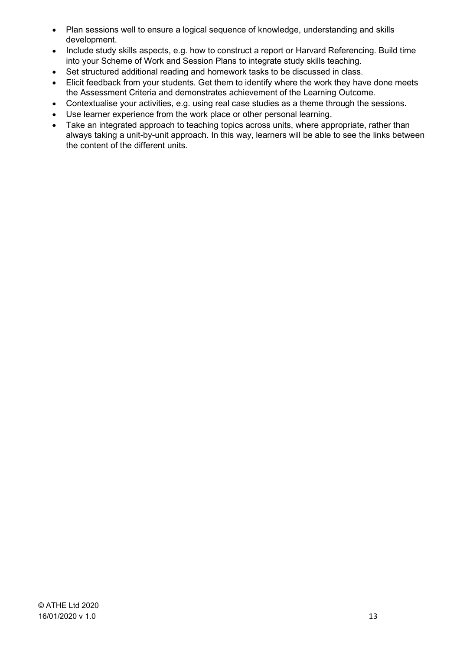- Plan sessions well to ensure a logical sequence of knowledge, understanding and skills  $\bullet$ development.
- Include study skills aspects, e.g. how to construct a report or Harvard Referencing. Build time into your Scheme of Work and Session Plans to integrate study skills teaching.
- Set structured additional reading and homework tasks to be discussed in class.
- Elicit feedback from your students. Get them to identify where the work they have done meets the Assessment Criteria and demonstrates achievement of the Learning Outcome.
- Contextualise your activities, e.g. using real case studies as a theme through the sessions.
- Use learner experience from the work place or other personal learning.
- Take an integrated approach to teaching topics across units, where appropriate, rather than always taking a unit-by-unit approach. In this way, learners will be able to see the links between the content of the different units.